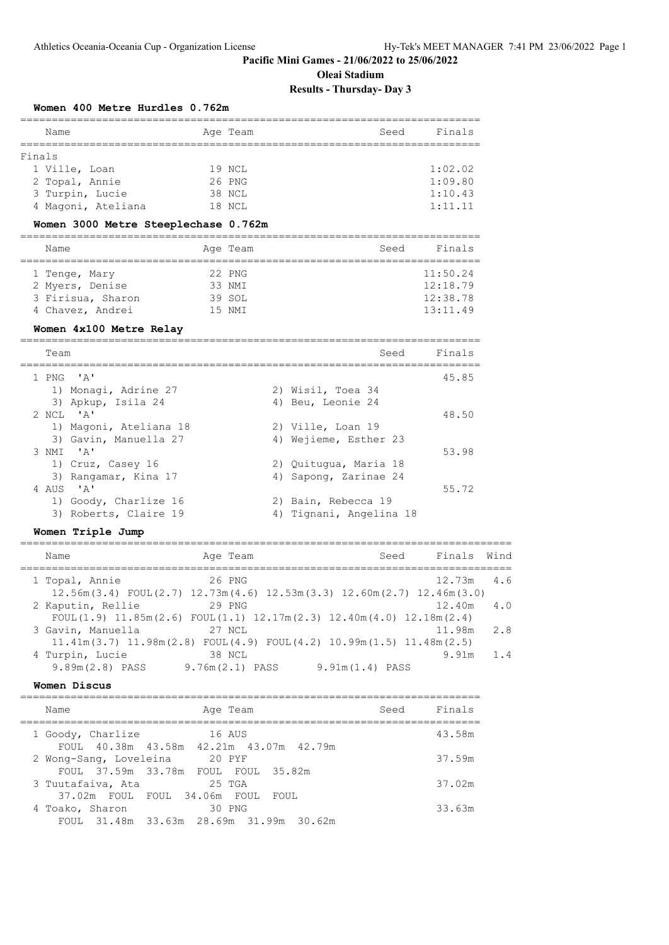## **Oleai Stadium Results - Thursday- Day 3**

## **Women 400 Metre Hurdles 0.762m**

| Name                                  | Age Team         | Finals<br>Seed     |  |  |  |  |  |  |  |  |
|---------------------------------------|------------------|--------------------|--|--|--|--|--|--|--|--|
| Finals                                |                  |                    |  |  |  |  |  |  |  |  |
| 1 Ville, Loan                         | 19 NCL           | 1:02.02            |  |  |  |  |  |  |  |  |
| 2 Topal, Annie                        | 26 PNG           | 1:09.80            |  |  |  |  |  |  |  |  |
| 3 Turpin, Lucie<br>4 Magoni, Ateliana | 38 NCL<br>18 NCL | 1:10.43<br>1:11.11 |  |  |  |  |  |  |  |  |
|                                       |                  |                    |  |  |  |  |  |  |  |  |

#### **Women 3000 Metre Steeplechase 0.762m**

| Name              | Age Team | Seed | Finals   |
|-------------------|----------|------|----------|
| 1 Tenge, Mary     | 22 PNG   |      | 11:50.24 |
| 2 Myers, Denise   | 33 NMI   |      | 12:18.79 |
| 3 Firisua, Sharon | 39 SOL   |      | 12:38.78 |
| 4 Chavez, Andrei  | 15 NMT   |      | 13:11.49 |

#### **Women 4x100 Metre Relay**

========================================================================= Team Seed Finals ========================================================================= 1 PNG 'A' 45.85 1) Monagi, Adrine 27 2) Wisil, Toea 34 3) Apkup, Isila 24 4) Beu, Leonie 24 2 NCL 'A' 48.50 1) Magoni, Ateliana 18 2) Ville, Loan 19 3) Gavin, Manuella 27 4) Wejieme, Esther 23 3 NMI 'A' 53.98 1) Cruz, Casey 16 2) Quitugua, Maria 18 3) Rangamar, Kina 17 (4) Sapong, Zarinae 24 4 AUS 'A' 55.72 1) Goody, Charlize 16 2) Bain, Rebecca 19 3) Roberts, Claire 19 19 11 and Homani, Angelina 18

#### **Women Triple Jump**

| Name                                                                                                   | Age Team                    | Seed              | Finals Wind  |     |
|--------------------------------------------------------------------------------------------------------|-----------------------------|-------------------|--------------|-----|
| 1 Topal, Annie<br>$12.56m(3.4)$ FOUL $(2.7)$ $12.73m(4.6)$ $12.53m(3.3)$ $12.60m(2.7)$ $12.46m(3.0)$   | 26 PNG                      |                   | $12.73m$ 4.6 |     |
| 2 Kaputin, Rellie<br>FOUL(1.9) $11.85m(2.6)$ FOUL(1.1) $12.17m(2.3)$ $12.40m(4.0)$ $12.18m(2.4)$       | 29 PNG                      |                   | 12.40m       | 4.0 |
| 3 Gavin, Manuella<br>$11.41m(3.7)$ $11.98m(2.8)$ FOUL $(4.9)$ FOUL $(4.2)$ $10.99m(1.5)$ $11.48m(2.5)$ | 27 NCL                      |                   | 11.98m       | 2.8 |
| 4 Turpin, Lucie<br>$9.89m(2.8)$ PASS                                                                   | 38 NCL<br>$9.76m(2.1)$ PASS | $9.91m(1.4)$ PASS | 9.91m        | 1.4 |

#### **Women Discus**

| Seed<br>Age Team<br>Name                                                    | Finals |
|-----------------------------------------------------------------------------|--------|
| 16 AUS<br>1 Goody, Charlize                                                 | 43.58m |
| FOUL 40.38m 43.58m 42.21m 43.07m 42.79m<br>20 PYF<br>2 Wong-Sang, Loveleina | 37.59m |
| FOUL 37.59m 33.78m FOUL FOUL 35.82m<br>25 TGA                               | 37.02m |
| 3 Tuutafaiva, Ata<br>37.02m FOUL FOUL 34.06m FOUL FOUL                      |        |
| 30 PNG<br>4 Toako, Sharon<br>FOUL 31.48m 33.63m 28.69m 31.99m 30.62m        | 33.63m |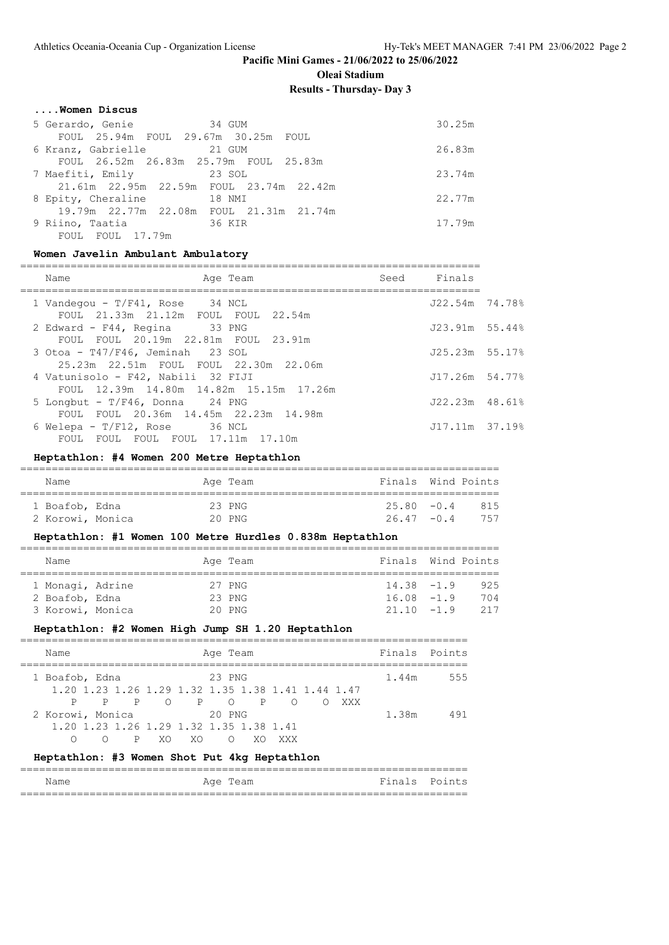**Oleai Stadium**

## **Results - Thursday- Day 3**

#### **....Women Discus**

| 5 Gerardo, Genie 64 34 GUM              | 30.25m |
|-----------------------------------------|--------|
| FOUL 25.94m FOUL 29.67m 30.25m FOUL     |        |
| 6 Kranz, Gabrielle 21 GUM               | 26.83m |
| FOUL 26.52m 26.83m 25.79m FOUL 25.83m   |        |
| 7 Maefiti, Emily 23 SOL                 | 23.74m |
| 21.61m 22.95m 22.59m FOUL 23.74m 22.42m |        |
| 8 Epity, Cheraline<br>18 NMI            | 22.77m |
| 19.79m 22.77m 22.08m FOUL 21.31m 21.74m |        |
| 36 KIR<br>9 Riino, Taatia               | 17.79m |
| FOUL FOUL 17.79m                        |        |

#### **Women Javelin Ambulant Ambulatory**

| Name<br>Age Team                                                              | Seed Finals      |  |
|-------------------------------------------------------------------------------|------------------|--|
| 1 Vandegou - $T/F41$ , Rose 34 NCL<br>FOUL 21.33m 21.12m FOUL FOUL 22.54m     | J22.54m 74.78%   |  |
| 2 Edward - F44, Regina 33 PNG                                                 | $J23.91m$ 55.44% |  |
| FOUL FOUL 20.19m 22.81m FOUL 23.91m<br>3 Otoa - T47/F46, Jeminah 23 SOL       | $J25.23m$ 55.17% |  |
| 4 Vatunisolo - F42, Nabili 32 FIJI                                            | J17.26m 54.77%   |  |
| FOUL 12.39m 14.80m 14.82m 15.15m 17.26m<br>5 Longbut - $T/F46$ , Donna 24 PNG | $J22.23m$ 48.61% |  |
| FOUL FOUL 20.36m 14.45m 22.23m 14.98m                                         |                  |  |
| 6 Welepa - $T/F12$ , Rose $36$ NCL<br>FOUL FOUL FOUL FOUL 17.11m 17.10m       | $J17.11m$ 37.19% |  |

## **Heptathlon: #4 Women 200 Metre Heptathlon**

| Name             |  | Aqe Team | Finals Wind Points |     |
|------------------|--|----------|--------------------|-----|
| 1 Boafob, Edna   |  | 23 PNG   | $25.80 - 0.4$      | 815 |
| 2 Korowi, Monica |  | $20$ PNG | $26.47 - 0.4$      | 757 |

## **Heptathlon: #1 Women 100 Metre Hurdles 0.838m Heptathlon**

| Name             |  |  | Age Team |  | Finals Wind Points |  |     |  |  |
|------------------|--|--|----------|--|--------------------|--|-----|--|--|
|                  |  |  |          |  |                    |  |     |  |  |
| 1 Monagi, Adrine |  |  | 27 PNG   |  | $14.38 - 1.9$      |  | 925 |  |  |
| 2 Boafob, Edna   |  |  | 23 PNG   |  | $16.08 - 1.9$      |  | 704 |  |  |
| 3 Korowi, Monica |  |  | $20$ PNG |  | $21.10 - 1.9$      |  | 217 |  |  |

## **Heptathlon: #2 Women High Jump SH 1.20 Heptathlon**

| Name                                              |  |  |      |     | Age Team |  |               |  |     | Finals Points |     |
|---------------------------------------------------|--|--|------|-----|----------|--|---------------|--|-----|---------------|-----|
| 1 Boafob, Edna                                    |  |  |      |     | 23 PNG   |  |               |  |     | 1.44m         | 555 |
| 1.20 1.23 1.26 1.29 1.32 1.35 1.38 1.41 1.44 1.47 |  |  |      |     |          |  |               |  |     |               |     |
|                                                   |  |  |      |     |          |  | P P O P O P O |  | XXX |               |     |
| 2 Korowi, Monica                                  |  |  |      |     | 20 PNG   |  |               |  |     | 1.38m         | 491 |
| 1, 20 1, 23 1, 26 1, 29 1, 32 1, 35 1, 38 1, 41   |  |  |      |     |          |  |               |  |     |               |     |
|                                                   |  |  | P XO | XO. |          |  |               |  |     |               |     |

### **Heptathlon: #3 Women Shot Put 4kg Heptathlon**

| Name | Age<br>Team | Finals | Points |
|------|-------------|--------|--------|
|      |             |        |        |

=======================================================================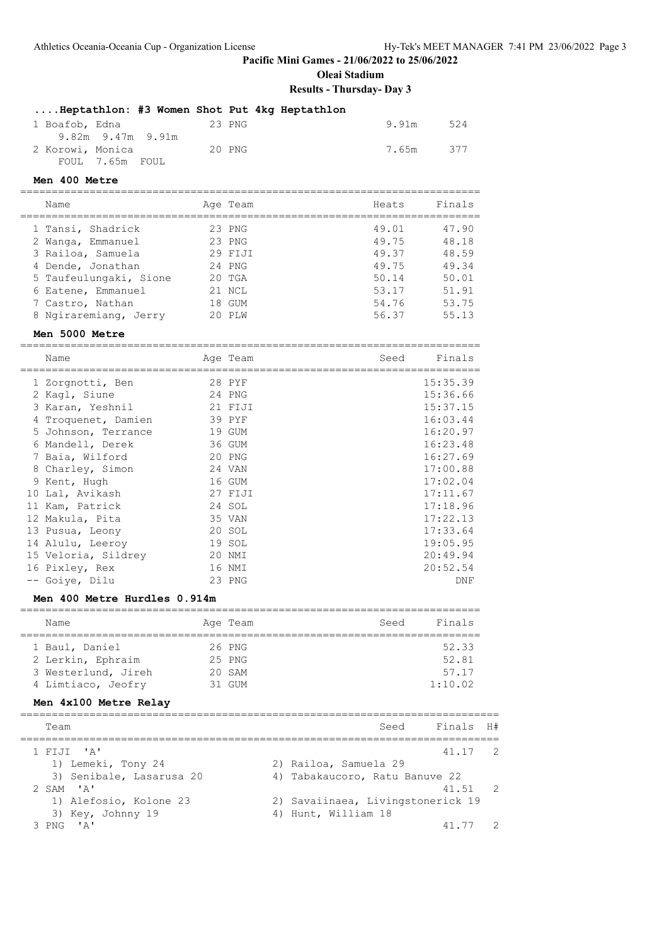**Oleai Stadium**

**Results - Thursday- Day 3**

|                  | Heptathlon: #3 Women Shot Put 4kg Heptathlon |        |  |           |     |
|------------------|----------------------------------------------|--------|--|-----------|-----|
| 1 Boafob, Edna   |                                              | 23 PNG |  | 9.91m     | 524 |
|                  | $9.82m$ $9.47m$ $9.91m$                      |        |  |           |     |
| 2 Korowi, Monica |                                              | 20 PNG |  | 7.65m 377 |     |
|                  | FOUL 7.65m FOUL                              |        |  |           |     |

### **Men 400 Metre**

| Name                   | Age Team | Heats | Finals |
|------------------------|----------|-------|--------|
| 1 Tansi, Shadrick      | 23 PNG   | 49.01 | 47.90  |
| 2 Wanga, Emmanuel      | 23 PNG   | 49.75 | 48.18  |
| 3 Railoa, Samuela      | 29 FIJI  | 49.37 | 48.59  |
| 4 Dende, Jonathan      | 24 PNG   | 49.75 | 49.34  |
| 5 Taufeulungaki, Sione | $20$ TGA | 50.14 | 50.01  |
| 6 Eatene, Emmanuel     | 21 NCL   | 53.17 | 51.91  |
| 7 Castro, Nathan       | 18 GUM   | 54.76 | 53.75  |
| 8 Ngiraremiang, Jerry  | 20 PTM   | 56.37 | 55.13  |
|                        |          |       |        |

#### **Men 5000 Metre**

=========================================================================

| Name                | Age Team | Seed | Finals   |
|---------------------|----------|------|----------|
| 1 Zorgnotti, Ben    | 28 PYF   |      | 15:35.39 |
| 2 Kagl, Siune       | 24 PNG   |      | 15:36.66 |
| 3 Karan, Yeshnil    | 21 FIJI  |      | 15:37.15 |
| 4 Troquenet, Damien | 39 PYF   |      | 16:03.44 |
| 5 Johnson, Terrance | 19 GUM   |      | 16:20.97 |
| 6 Mandell, Derek    | 36 GUM   |      | 16:23.48 |
| 7 Baia, Wilford     | 20 PNG   |      | 16:27.69 |
| 8 Charley, Simon    | 24 VAN   |      | 17:00.88 |
| 9 Kent, Hugh        | 16 GUM   |      | 17:02.04 |
| 10 Lal, Avikash     | 27 FIJI  |      | 17:11.67 |
| 11 Kam, Patrick     | 24 SOL   |      | 17:18.96 |
| 12 Makula, Pita     | 35 VAN   |      | 17:22.13 |
| 13 Pusua, Leony     | 20 SOL   |      | 17:33.64 |
| 14 Alulu, Leeroy    | 19 SOL   |      | 19:05.95 |
| 15 Veloria, Sildrey | 20 NMI   |      | 20:49.94 |
| 16 Pixley, Rex      | 16 NMI   |      | 20:52.54 |
| -- Goiye, Dilu      | 23 PNG   |      | DNF      |

## **Men 400 Metre Hurdles 0.914m**

|  | Name                |  | Age Team | Seed | Finals  |  |  |  |
|--|---------------------|--|----------|------|---------|--|--|--|
|  |                     |  |          |      |         |  |  |  |
|  | 1 Baul, Daniel      |  | 26 PNG   |      | 52.33   |  |  |  |
|  | 2 Lerkin, Ephraim   |  | 25 PNG   |      | 52.81   |  |  |  |
|  | 3 Westerlund, Jireh |  | 20 SAM   |      | 57.17   |  |  |  |
|  | 4 Limtiaco, Jeofry  |  | $31$ GUM |      | 1:10.02 |  |  |  |

### **Men 4x100 Metre Relay**

| Team                     | Finals H#<br>Seed                 |                |
|--------------------------|-----------------------------------|----------------|
| 1 FIJI 'A'               | 41.17 2                           |                |
| 1) Lemeki, Tony 24       | 2) Railoa, Samuela 29             |                |
| 3) Senibale, Lasarusa 20 | 4) Tabakaucoro, Ratu Banuve 22    |                |
| $2$ SAM $'$ A'           | 41.51 2                           |                |
| 1) Alefosio, Kolone 23   | 2) Savaiinaea, Livingstonerick 19 |                |
| 3) Key, Johnny 19        | 4) Hunt, William 18               |                |
| 3 PNG I A'               | 41.77                             | $\overline{2}$ |
|                          |                                   |                |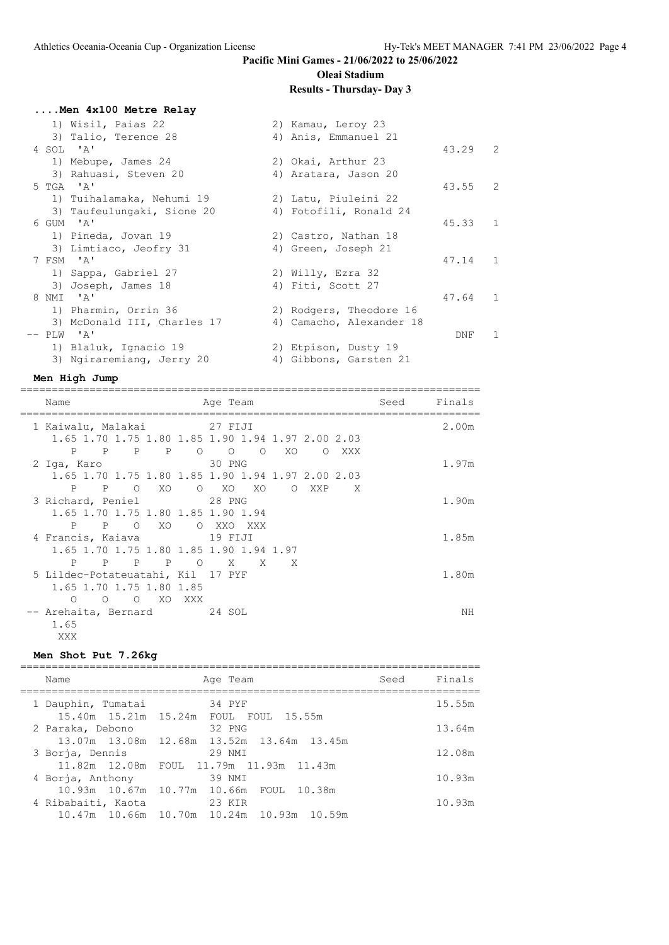**....Men 4x100 Metre Relay**

## **Pacific Mini Games - 21/06/2022 to 25/06/2022 Oleai Stadium**

# **Results - Thursday- Day 3**

|  | 1) Wisil, Paias 22          | 2) Kamau, Leroy 23       |                 |                |
|--|-----------------------------|--------------------------|-----------------|----------------|
|  | 3) Talio, Terence 28        | 4) Anis, Emmanuel 21     |                 |                |
|  | 4 SOL 'A'                   |                          | $43.29$ 2       |                |
|  | 1) Mebupe, James 24         | 2) Okai, Arthur 23       |                 |                |
|  | 3) Rahuasi, Steven 20       | 4) Aratara, Jason 20     |                 |                |
|  | 5 TGA 'A'                   |                          | $43.55$ 2       |                |
|  | 1) Tuihalamaka, Nehumi 19   | 2) Latu, Piuleini 22     |                 |                |
|  | 3) Taufeulungaki, Sione 20  | 4) Fotofili, Ronald 24   |                 |                |
|  | 6 GUM 'A'                   |                          | $45.33 \quad 1$ |                |
|  | 1) Pineda, Jovan 19         | 2) Castro, Nathan 18     |                 |                |
|  | 3) Limtiaco, Jeofry 31      | 4) Green, Joseph 21      |                 |                |
|  | 7 FSM 'A'                   |                          | 47.14 1         |                |
|  | 1) Sappa, Gabriel 27        | 2) Willy, Ezra 32        |                 |                |
|  | 3) Joseph, James 18         | 4) Fiti, Scott 27        |                 |                |
|  | 8 NMI 'A'                   |                          | 47.64 1         |                |
|  | 1) Pharmin, Orrin 36        | 2) Rodgers, Theodore 16  |                 |                |
|  | 3) McDonald III, Charles 17 | 4) Camacho, Alexander 18 |                 |                |
|  | $--$ PLW $'A'$              |                          | DNF             | $\overline{1}$ |
|  | 1) Blaluk, Ignacio 19       | 2) Etpison, Dusty 19     |                 |                |
|  | 3) Ngiraremiang, Jerry 20   | 4) Gibbons, Garsten 21   |                 |                |

#### **Men High Jump**

=========================================================================

| Name                                                           | Age Team                                          | Seed | Finals |
|----------------------------------------------------------------|---------------------------------------------------|------|--------|
| 1 Kaiwalu, Malakai (27 FIJI                                    |                                                   |      | 2.00m  |
|                                                                | 1.65 1.70 1.75 1.80 1.85 1.90 1.94 1.97 2.00 2.03 |      |        |
| $\mathbb{P}$<br>P 0 0<br>$\mathbb{P}$<br>P                     | O XO<br>$\circ$<br>XXX                            |      |        |
| 2 Iga, Karo                                                    | 30 PNG                                            |      | 1.97m  |
|                                                                | 1.65 1.70 1.75 1.80 1.85 1.90 1.94 1.97 2.00 2.03 |      |        |
| $P \qquad \qquad$<br>$\Omega$<br>$\mathbf{P}$<br>XO            | $O$ XO<br>XO<br>O XXP<br>X                        |      |        |
| 3 Richard, Peniel 28 PNG                                       |                                                   |      | 1.90m  |
| 1.65 1.70 1.75 1.80 1.85 1.90 1.94                             |                                                   |      |        |
| P P O XO                                                       | O XXO XXX                                         |      |        |
| 4 Francis, Kaiava 19 FIJI                                      |                                                   |      | 1.85m  |
| 1.65 1.70 1.75 1.80 1.85 1.90 1.94 1.97                        |                                                   |      |        |
| $\overline{P}$<br>$\mathbb{P}$<br>P<br>$\mathbf{P}$<br>$\circ$ | X<br>X<br>$\mathsf{X}$                            |      |        |
| 5 Lildec-Potateuatahi, Kil 17 PYF                              |                                                   |      | 1.80m  |
| 1.65 1.70 1.75 1.80 1.85                                       |                                                   |      |        |
| $O$ XO<br>$\circ$<br>$\circ$<br>XXX                            |                                                   |      |        |
| -- Arehaita, Bernard 14 SOL                                    |                                                   |      | NΗ     |
| 1.65                                                           |                                                   |      |        |
| XXX                                                            |                                                   |      |        |

## **Men Shot Put 7.26kg**

| Finals<br>Seed<br>Age Team<br>Name                                                   |  |
|--------------------------------------------------------------------------------------|--|
| 34 PYF<br>1 Dauphin, Tumatai<br>15.55m                                               |  |
| 15.40m 15.21m 15.24m FOUL FOUL 15.55m<br>13.64m<br>32 PNG<br>2 Paraka, Debono        |  |
| 13.07m 13.08m 12.68m 13.52m 13.64m 13.45m<br>12.08m<br>29 NMI<br>3 Borja, Dennis     |  |
| 11.82m 12.08m FOUL 11.79m 11.93m 11.43m                                              |  |
| 10.93m<br>39 NMI<br>4 Borja, Anthony<br>10.93m  10.67m  10.77m  10.66m  FOUL  10.38m |  |
| 10.93m<br>4 Ribabaiti, Kaota<br>23 KIR                                               |  |
| 10.47m  10.66m  10.70m  10.24m  10.93m  10.59m                                       |  |